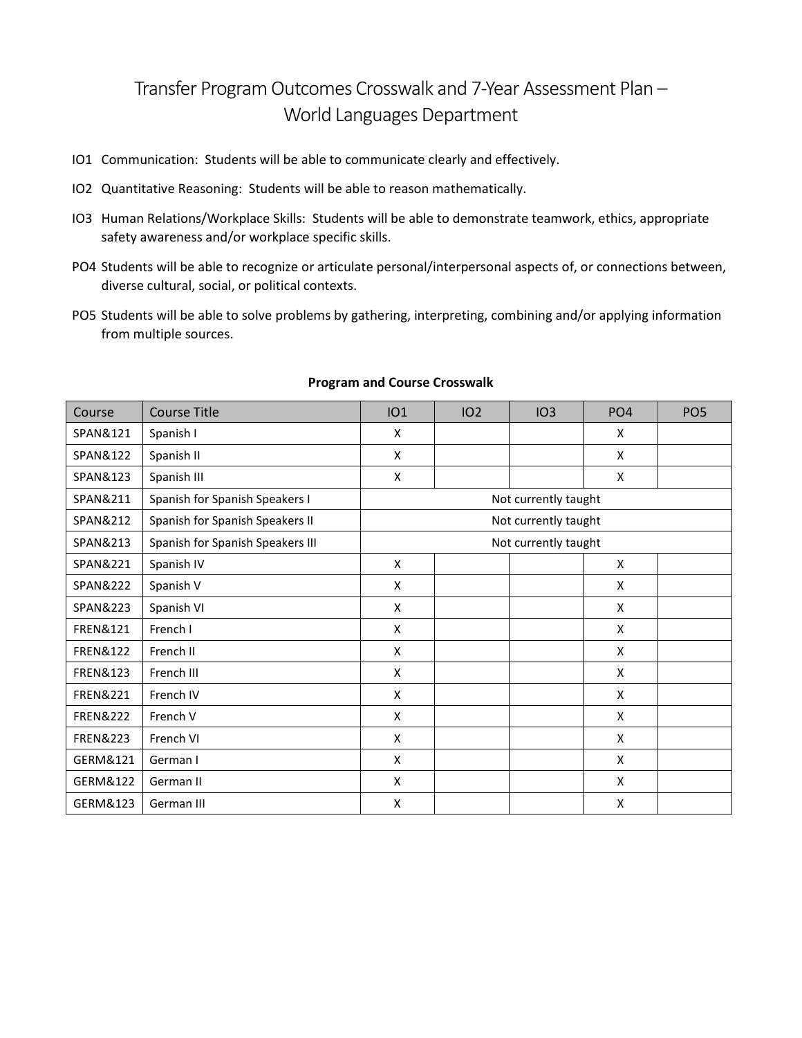## Transfer Program Outcomes Crosswalk and 7-Year Assessment Plan – World Languages Department

- IO1 Communication: Students will be able to communicate clearly and effectively.
- IO2 Quantitative Reasoning: Students will be able to reason mathematically.
- IO3 Human Relations/Workplace Skills: Students will be able to demonstrate teamwork, ethics, appropriate safety awareness and/or workplace specific skills.
- PO4 Students will be able to recognize or articulate personal/interpersonal aspects of, or connections between, diverse cultural, social, or political contexts.
- PO5 Students will be able to solve problems by gathering, interpreting, combining and/or applying information from multiple sources.

| Course              | <b>Course Title</b>              | IO1                  | IO2 | IO3 | PO <sub>4</sub> | PO <sub>5</sub> |  |  |  |
|---------------------|----------------------------------|----------------------|-----|-----|-----------------|-----------------|--|--|--|
| SPAN&121            | Spanish I                        | X                    |     |     | X               |                 |  |  |  |
| SPAN&122            | Spanish II                       | X                    |     |     | X               |                 |  |  |  |
| SPAN&123            | Spanish III                      | X                    |     |     | X               |                 |  |  |  |
| SPAN&211            | Spanish for Spanish Speakers I   | Not currently taught |     |     |                 |                 |  |  |  |
| SPAN&212            | Spanish for Spanish Speakers II  | Not currently taught |     |     |                 |                 |  |  |  |
| SPAN&213            | Spanish for Spanish Speakers III | Not currently taught |     |     |                 |                 |  |  |  |
| SPAN&221            | Spanish IV                       | X                    |     |     | X               |                 |  |  |  |
| SPAN&222            | Spanish V                        | X                    |     |     | X               |                 |  |  |  |
| SPAN&223            | Spanish VI                       | X                    |     |     | X               |                 |  |  |  |
| <b>FREN&amp;121</b> | French I                         | X                    |     |     | Χ               |                 |  |  |  |
| <b>FREN&amp;122</b> | French II                        | X                    |     |     | Χ               |                 |  |  |  |
| <b>FREN&amp;123</b> | French III                       | X                    |     |     | X               |                 |  |  |  |
| <b>FREN&amp;221</b> | French IV                        | X                    |     |     | X               |                 |  |  |  |
| <b>FREN&amp;222</b> | French V                         | X                    |     |     | X               |                 |  |  |  |
| <b>FREN&amp;223</b> | French VI                        | X                    |     |     | X               |                 |  |  |  |
| GERM&121            | German I                         | X                    |     |     | X               |                 |  |  |  |
| GERM&122            | German II                        | X                    |     |     | X               |                 |  |  |  |
| GERM&123            | German III                       | X                    |     |     | X               |                 |  |  |  |

## **Program and Course Crosswalk**